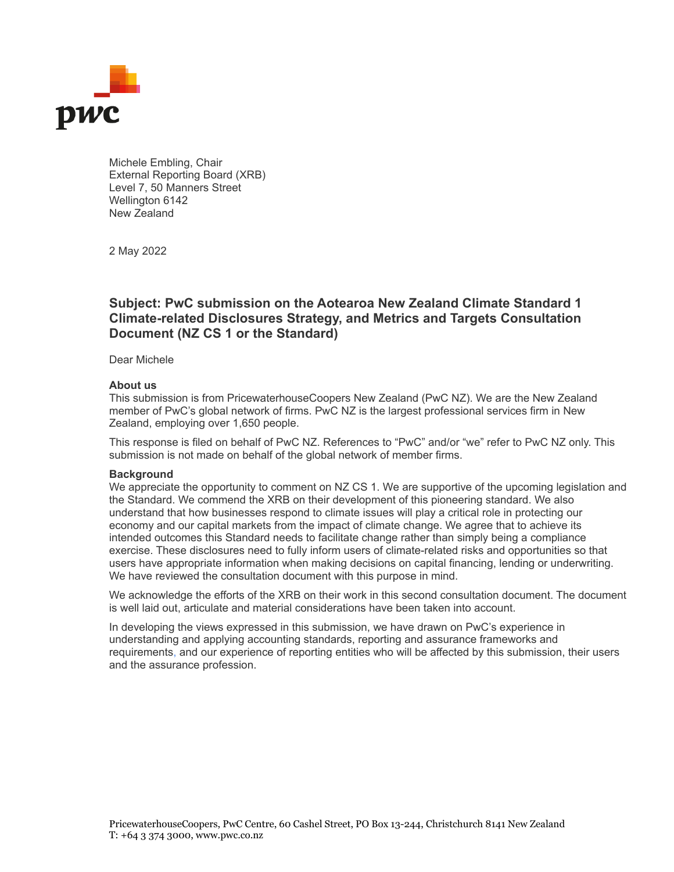

Michele Embling, Chair External Reporting Board (XRB) Level 7, 50 Manners Street Wellington 6142 New Zealand

2 May 2022

## **Subject: PwC submission on the Aotearoa New Zealand Climate Standard 1 Climate-related Disclosures Strategy, and Metrics and Targets Consultation Document (NZ CS 1 or the Standard)**

Dear Michele

## **About us**

This submission is from PricewaterhouseCoopers New Zealand (PwC NZ). We are the New Zealand member of PwC's global network of firms. PwC NZ is the largest professional services firm in New Zealand, employing over 1,650 people.

This response is filed on behalf of PwC NZ. References to "PwC" and/or "we" refer to PwC NZ only. This submission is not made on behalf of the global network of member firms.

## **Background**

We appreciate the opportunity to comment on NZ CS 1. We are supportive of the upcoming legislation and the Standard. We commend the XRB on their development of this pioneering standard. We also understand that how businesses respond to climate issues will play a critical role in protecting our economy and our capital markets from the impact of climate change. We agree that to achieve its intended outcomes this Standard needs to facilitate change rather than simply being a compliance exercise. These disclosures need to fully inform users of climate-related risks and opportunities so that users have appropriate information when making decisions on capital financing, lending or underwriting. We have reviewed the consultation document with this purpose in mind.

We acknowledge the efforts of the XRB on their work in this second consultation document. The document is well laid out, articulate and material considerations have been taken into account.

In developing the views expressed in this submission, we have drawn on PwC's experience in understanding and applying accounting standards, reporting and assurance frameworks and requirements, and our experience of reporting entities who will be affected by this submission, their users and the assurance profession.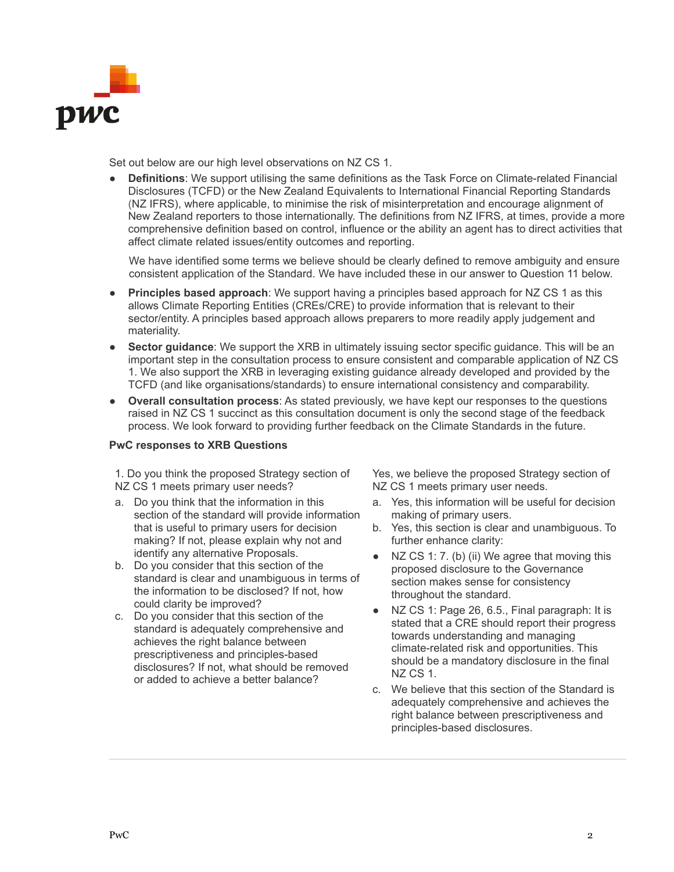

Set out below are our high level observations on NZ CS 1.

● **Definitions**: We support utilising the same definitions as the Task Force on Climate-related Financial Disclosures (TCFD) or the New Zealand Equivalents to International Financial Reporting Standards (NZ IFRS), where applicable, to minimise the risk of misinterpretation and encourage alignment of New Zealand reporters to those internationally. The definitions from NZ IFRS, at times, provide a more comprehensive definition based on control, influence or the ability an agent has to direct activities that affect climate related issues/entity outcomes and reporting.

We have identified some terms we believe should be clearly defined to remove ambiguity and ensure consistent application of the Standard. We have included these in our answer to Question 11 below.

- **Principles based approach:** We support having a principles based approach for NZ CS 1 as this allows Climate Reporting Entities (CREs/CRE) to provide information that is relevant to their sector/entity. A principles based approach allows preparers to more readily apply judgement and materiality.
- **Sector guidance:** We support the XRB in ultimately issuing sector specific guidance. This will be an important step in the consultation process to ensure consistent and comparable application of NZ CS 1. We also support the XRB in leveraging existing guidance already developed and provided by the TCFD (and like organisations/standards) to ensure international consistency and comparability.
- **Overall consultation process**: As stated previously, we have kept our responses to the questions raised in NZ CS 1 succinct as this consultation document is only the second stage of the feedback process. We look forward to providing further feedback on the Climate Standards in the future.

## **PwC responses to XRB Questions**

1. Do you think the proposed Strategy section of NZ CS 1 meets primary user needs?

- a. Do you think that the information in this section of the standard will provide information that is useful to primary users for decision making? If not, please explain why not and identify any alternative Proposals.
- b. Do you consider that this section of the standard is clear and unambiguous in terms of the information to be disclosed? If not, how could clarity be improved?
- c. Do you consider that this section of the standard is adequately comprehensive and achieves the right balance between prescriptiveness and principles-based disclosures? If not, what should be removed or added to achieve a better balance?

Yes, we believe the proposed Strategy section of NZ CS 1 meets primary user needs.

- a. Yes, this information will be useful for decision making of primary users.
- b. Yes, this section is clear and unambiguous. To further enhance clarity:
- NZ CS 1: 7. (b) (ii) We agree that moving this proposed disclosure to the Governance section makes sense for consistency throughout the standard.
- NZ CS 1: Page 26, 6.5., Final paragraph: It is stated that a CRE should report their progress towards understanding and managing climate-related risk and opportunities. This should be a mandatory disclosure in the final NZ CS 1.
- c. We believe that this section of the Standard is adequately comprehensive and achieves the right balance between prescriptiveness and principles-based disclosures.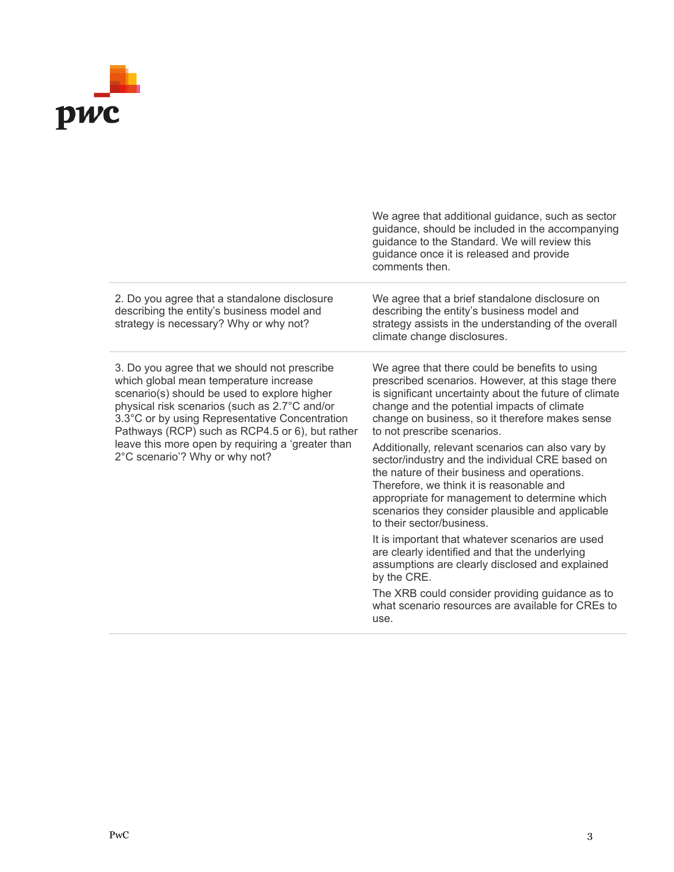

|                                                                                                                                                                                                                                                                                                                                                                                     | We agree that additional guidance, such as sector<br>guidance, should be included in the accompanying<br>guidance to the Standard. We will review this<br>guidance once it is released and provide<br>comments then.                                                                                                                                                                                                                                                                                                                                                                                                                                                                                                                                                                                                                                                                                                          |
|-------------------------------------------------------------------------------------------------------------------------------------------------------------------------------------------------------------------------------------------------------------------------------------------------------------------------------------------------------------------------------------|-------------------------------------------------------------------------------------------------------------------------------------------------------------------------------------------------------------------------------------------------------------------------------------------------------------------------------------------------------------------------------------------------------------------------------------------------------------------------------------------------------------------------------------------------------------------------------------------------------------------------------------------------------------------------------------------------------------------------------------------------------------------------------------------------------------------------------------------------------------------------------------------------------------------------------|
| 2. Do you agree that a standalone disclosure<br>describing the entity's business model and<br>strategy is necessary? Why or why not?                                                                                                                                                                                                                                                | We agree that a brief standalone disclosure on<br>describing the entity's business model and<br>strategy assists in the understanding of the overall<br>climate change disclosures.                                                                                                                                                                                                                                                                                                                                                                                                                                                                                                                                                                                                                                                                                                                                           |
| 3. Do you agree that we should not prescribe<br>which global mean temperature increase<br>scenario(s) should be used to explore higher<br>physical risk scenarios (such as 2.7°C and/or<br>3.3°C or by using Representative Concentration<br>Pathways (RCP) such as RCP4.5 or 6), but rather<br>leave this more open by requiring a 'greater than<br>2°C scenario'? Why or why not? | We agree that there could be benefits to using<br>prescribed scenarios. However, at this stage there<br>is significant uncertainty about the future of climate<br>change and the potential impacts of climate<br>change on business, so it therefore makes sense<br>to not prescribe scenarios.<br>Additionally, relevant scenarios can also vary by<br>sector/industry and the individual CRE based on<br>the nature of their business and operations.<br>Therefore, we think it is reasonable and<br>appropriate for management to determine which<br>scenarios they consider plausible and applicable<br>to their sector/business.<br>It is important that whatever scenarios are used<br>are clearly identified and that the underlying<br>assumptions are clearly disclosed and explained<br>by the CRE.<br>The XRB could consider providing guidance as to<br>what scenario resources are available for CREs to<br>use. |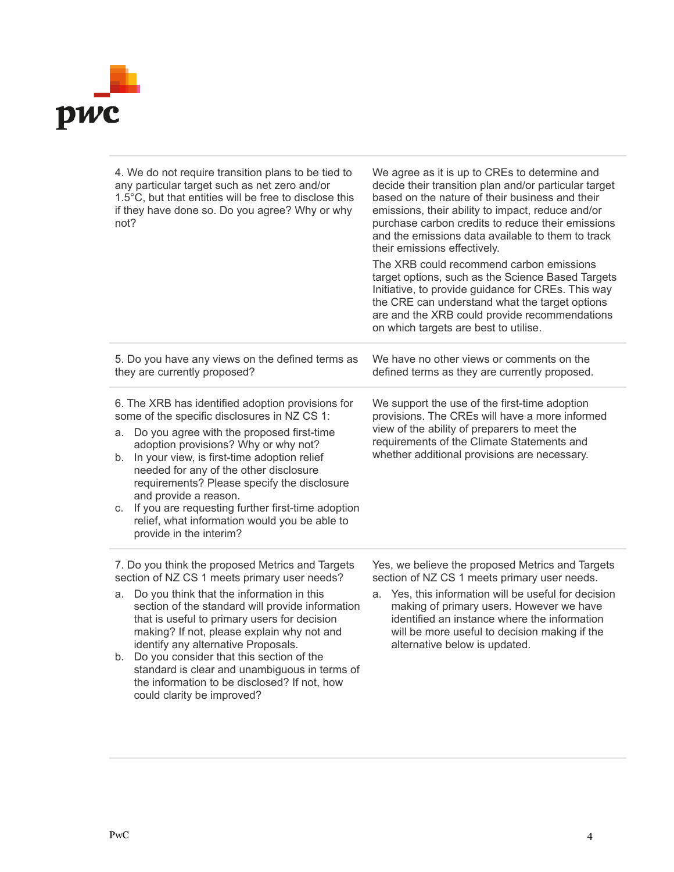

| 4. We do not require transition plans to be tied to<br>any particular target such as net zero and/or<br>1.5°C, but that entities will be free to disclose this<br>if they have done so. Do you agree? Why or why<br>not?                                                                                                                                                                                                                                                                                   | We agree as it is up to CREs to determine and<br>decide their transition plan and/or particular target<br>based on the nature of their business and their<br>emissions, their ability to impact, reduce and/or<br>purchase carbon credits to reduce their emissions<br>and the emissions data available to them to track<br>their emissions effectively.<br>The XRB could recommend carbon emissions<br>target options, such as the Science Based Targets<br>Initiative, to provide guidance for CREs. This way<br>the CRE can understand what the target options<br>are and the XRB could provide recommendations<br>on which targets are best to utilise. |
|------------------------------------------------------------------------------------------------------------------------------------------------------------------------------------------------------------------------------------------------------------------------------------------------------------------------------------------------------------------------------------------------------------------------------------------------------------------------------------------------------------|-------------------------------------------------------------------------------------------------------------------------------------------------------------------------------------------------------------------------------------------------------------------------------------------------------------------------------------------------------------------------------------------------------------------------------------------------------------------------------------------------------------------------------------------------------------------------------------------------------------------------------------------------------------|
| 5. Do you have any views on the defined terms as<br>they are currently proposed?                                                                                                                                                                                                                                                                                                                                                                                                                           | We have no other views or comments on the<br>defined terms as they are currently proposed.                                                                                                                                                                                                                                                                                                                                                                                                                                                                                                                                                                  |
| 6. The XRB has identified adoption provisions for<br>some of the specific disclosures in NZ CS 1:<br>Do you agree with the proposed first-time<br>a.<br>adoption provisions? Why or why not?<br>In your view, is first-time adoption relief<br>b.<br>needed for any of the other disclosure<br>requirements? Please specify the disclosure<br>and provide a reason.<br>If you are requesting further first-time adoption<br>C.<br>relief, what information would you be able to<br>provide in the interim? | We support the use of the first-time adoption<br>provisions. The CREs will have a more informed<br>view of the ability of preparers to meet the<br>requirements of the Climate Statements and<br>whether additional provisions are necessary.                                                                                                                                                                                                                                                                                                                                                                                                               |
| 7. Do you think the proposed Metrics and Targets<br>section of NZ CS 1 meets primary user needs?<br>a. Do you think that the information in this<br>section of the standard will provide information<br>that is useful to primary users for decision<br>making? If not, please explain why not and<br>identify any alternative Proposals.<br>b. Do you consider that this section of the<br>standard is clear and unambiguous in terms of                                                                  | Yes, we believe the proposed Metrics and Targets<br>section of NZ CS 1 meets primary user needs.<br>Yes, this information will be useful for decision<br>a.<br>making of primary users. However we have<br>identified an instance where the information<br>will be more useful to decision making if the<br>alternative below is updated.                                                                                                                                                                                                                                                                                                                   |

the information to be disclosed? If not, how

could clarity be improved?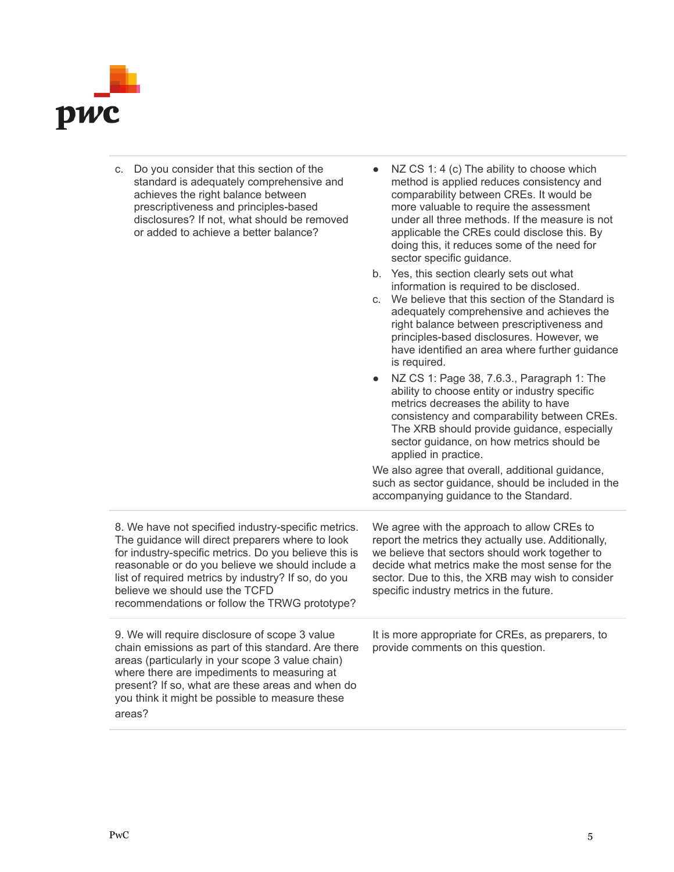

| c. Do you consider that this section of the<br>standard is adequately comprehensive and<br>achieves the right balance between<br>prescriptiveness and principles-based<br>disclosures? If not, what should be removed<br>or added to achieve a better balance?                                                                                                 | NZ CS 1: 4 (c) The ability to choose which<br>method is applied reduces consistency and<br>comparability between CREs. It would be<br>more valuable to require the assessment<br>under all three methods. If the measure is not<br>applicable the CREs could disclose this. By<br>doing this, it reduces some of the need for<br>sector specific guidance.<br>b. Yes, this section clearly sets out what<br>information is required to be disclosed.<br>c. We believe that this section of the Standard is<br>adequately comprehensive and achieves the<br>right balance between prescriptiveness and<br>principles-based disclosures. However, we<br>have identified an area where further guidance<br>is required.<br>NZ CS 1: Page 38, 7.6.3., Paragraph 1: The<br>ability to choose entity or industry specific<br>metrics decreases the ability to have<br>consistency and comparability between CREs.<br>The XRB should provide guidance, especially<br>sector guidance, on how metrics should be<br>applied in practice.<br>We also agree that overall, additional guidance,<br>such as sector guidance, should be included in the<br>accompanying guidance to the Standard. |
|----------------------------------------------------------------------------------------------------------------------------------------------------------------------------------------------------------------------------------------------------------------------------------------------------------------------------------------------------------------|-------------------------------------------------------------------------------------------------------------------------------------------------------------------------------------------------------------------------------------------------------------------------------------------------------------------------------------------------------------------------------------------------------------------------------------------------------------------------------------------------------------------------------------------------------------------------------------------------------------------------------------------------------------------------------------------------------------------------------------------------------------------------------------------------------------------------------------------------------------------------------------------------------------------------------------------------------------------------------------------------------------------------------------------------------------------------------------------------------------------------------------------------------------------------------------|
| 8. We have not specified industry-specific metrics.<br>The guidance will direct preparers where to look<br>for industry-specific metrics. Do you believe this is<br>reasonable or do you believe we should include a<br>list of required metrics by industry? If so, do you<br>believe we should use the TCFD<br>recommendations or follow the TRWG prototype? | We agree with the approach to allow CREs to<br>report the metrics they actually use. Additionally,<br>we believe that sectors should work together to<br>decide what metrics make the most sense for the<br>sector. Due to this, the XRB may wish to consider<br>specific industry metrics in the future.                                                                                                                                                                                                                                                                                                                                                                                                                                                                                                                                                                                                                                                                                                                                                                                                                                                                           |
| 9. We will require disclosure of scope 3 value<br>chain emissions as part of this standard. Are there<br>areas (particularly in your scope 3 value chain)<br>where there are impediments to measuring at<br>present? If so, what are these areas and when do<br>you think it might be possible to measure these<br>areas?                                      | It is more appropriate for CREs, as preparers, to<br>provide comments on this question.                                                                                                                                                                                                                                                                                                                                                                                                                                                                                                                                                                                                                                                                                                                                                                                                                                                                                                                                                                                                                                                                                             |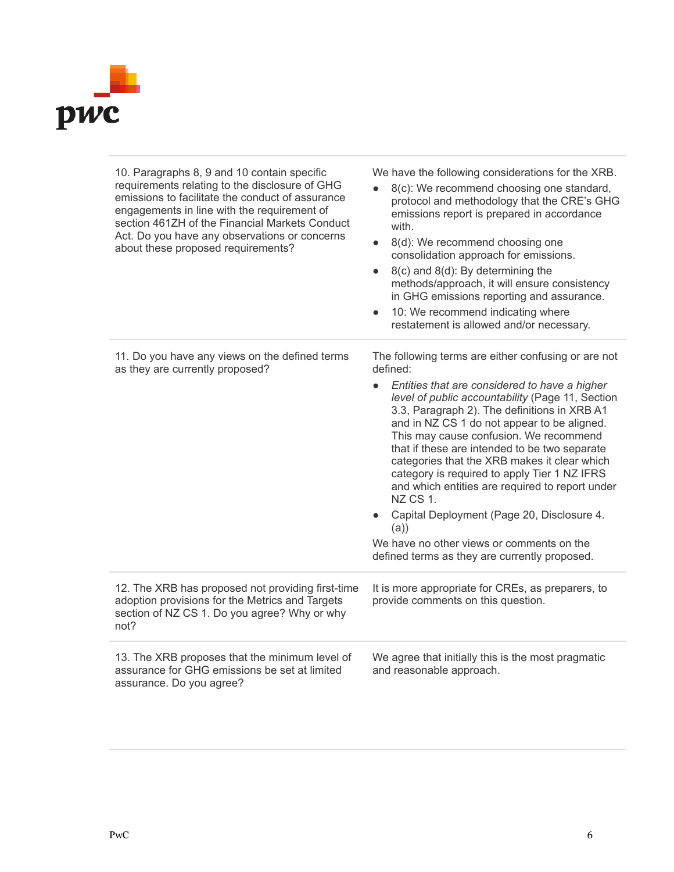

| 10. Paragraphs 8, 9 and 10 contain specific<br>requirements relating to the disclosure of GHG<br>emissions to facilitate the conduct of assurance<br>engagements in line with the requirement of<br>section 461ZH of the Financial Markets Conduct<br>Act. Do you have any observations or concerns<br>about these proposed requirements? | We have the following considerations for the XRB.<br>8(c): We recommend choosing one standard,<br>protocol and methodology that the CRE's GHG<br>emissions report is prepared in accordance<br>with.<br>8(d): We recommend choosing one<br>$\bullet$<br>consolidation approach for emissions.<br>8(c) and 8(d): By determining the<br>$\bullet$<br>methods/approach, it will ensure consistency<br>in GHG emissions reporting and assurance.<br>10: We recommend indicating where<br>$\bullet$<br>restatement is allowed and/or necessary.                                                                                                                                                    |
|-------------------------------------------------------------------------------------------------------------------------------------------------------------------------------------------------------------------------------------------------------------------------------------------------------------------------------------------|-----------------------------------------------------------------------------------------------------------------------------------------------------------------------------------------------------------------------------------------------------------------------------------------------------------------------------------------------------------------------------------------------------------------------------------------------------------------------------------------------------------------------------------------------------------------------------------------------------------------------------------------------------------------------------------------------|
| 11. Do you have any views on the defined terms<br>as they are currently proposed?                                                                                                                                                                                                                                                         | The following terms are either confusing or are not<br>defined:<br>Entities that are considered to have a higher<br>$\bullet$<br>level of public accountability (Page 11, Section<br>3.3, Paragraph 2). The definitions in XRB A1<br>and in NZ CS 1 do not appear to be aligned.<br>This may cause confusion. We recommend<br>that if these are intended to be two separate<br>categories that the XRB makes it clear which<br>category is required to apply Tier 1 NZ IFRS<br>and which entities are required to report under<br>NZ CS 1.<br>Capital Deployment (Page 20, Disclosure 4.<br>(a)<br>We have no other views or comments on the<br>defined terms as they are currently proposed. |
| 12. The XRB has proposed not providing first-time<br>adoption provisions for the Metrics and Targets<br>section of NZ CS 1. Do you agree? Why or why<br>not?                                                                                                                                                                              | It is more appropriate for CREs, as preparers, to<br>provide comments on this question.                                                                                                                                                                                                                                                                                                                                                                                                                                                                                                                                                                                                       |
| 13. The XRB proposes that the minimum level of<br>assurance for GHG emissions be set at limited<br>assurance. Do you agree?                                                                                                                                                                                                               | We agree that initially this is the most pragmatic<br>and reasonable approach.                                                                                                                                                                                                                                                                                                                                                                                                                                                                                                                                                                                                                |